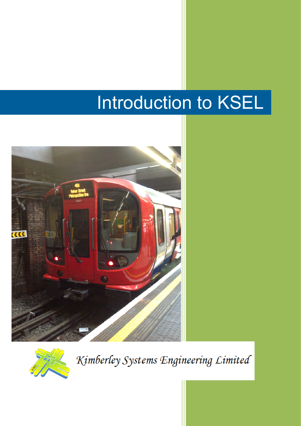# Introduction to KSEL





Kimberley Systems Engineering Limited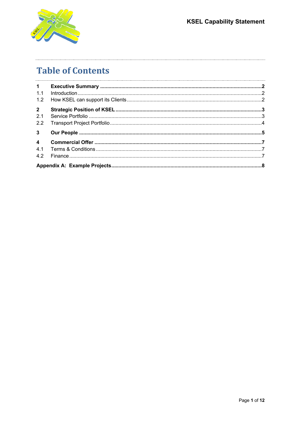



## **Table of Contents**

| 1.1            |  |  |  |
|----------------|--|--|--|
| 1.2            |  |  |  |
| $\overline{2}$ |  |  |  |
| 2.1            |  |  |  |
| 2.2            |  |  |  |
| $3^{\circ}$    |  |  |  |
|                |  |  |  |
| 4.1            |  |  |  |
| 4.2            |  |  |  |
|                |  |  |  |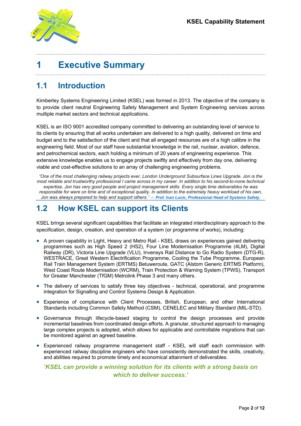

## **1 Executive Summary**

#### **1.1 Introduction**

Kimberley Systems Engineering Limited (KSEL) was formed in 2013. The objective of the company is to provide client neutral Engineering Safety Management and System Engineering services across multiple market sectors and technical applications.

KSEL is an ISO 9001 accredited company committed to delivering an outstanding level of service to its clients by ensuring that all works undertaken are delivered to a high quality, delivered on time and budget and to the satisfaction of the client and that all engaged resources are of a high calibre in the engineering field. Most of our staff have substantial knowledge in the rail, nuclear, aviation, defence, and petrochemical sectors, each holding a minimum of 20 years of engineering experience. This extensive knowledge enables us to engage projects swiftly and effectively from day one, delivering viable and cost-effective solutions to an array of challenging engineering problems.

*"One of the most challenging railway projects ever, London Underground Subsurface Lines Upgrade. Jon is the most reliable and trustworthy professional I came across in my career. In addition to his second-to-none technical expertise, Jon has very good people and project management skills. Every single time deliverables he was*  responsible for were on time and of exceptional quality. In addition to the extremely heavy workload of his own, *Jon was always prepared to help and support others." — Prof. Ivan Lucic, Professional Head of Systems Safety.* 

#### **1.2 How KSEL can support its Clients**

KSEL brings several significant capabilities that facilitate an integrated interdisciplinary approach to the specification, design, creation, and operation of a system (or programme of works), including:

- A proven capability in Light, Heavy and Metro Rail KSEL draws on experiences gained delivering programmes such as High Speed 2 (HS2), Four Line Modernisation Programme (4LM), Digital Railway (DR), Victoria Line Upgrade (VLU), Invensys Rail Distance to Go Radio System (DTG-R), WESTRACE, Great Western Electrification Programme, Cooling the Tube Programme, European Rail Train Management System (ERTMS) Betuweroute, GATC (Alstom Generic ERTMS Platform), West Coast Route Modernisation (WCRM), Train Protection & Warning System (TPWS), Transport for Greater Manchester (TfGM) Metrolink Phase 3 and many others.
- The delivery of services to satisfy three key objectives technical, operational, and programme integration for Signalling and Control Systems Design & Application.
- Experience of compliance with Client Processes, British, European, and other International Standards including Common Safety Method (CSM), CENELEC and Military Standard (MIL-STD).
- Governance through lifecycle-based staging to control the design processes and provide incremental baselines from coordinated design efforts. A granular, structured approach to managing large complex projects is adopted, which allows for applicable and controllable migrations that can be monitored against an agreed baseline.
- Experienced railway programme management staff KSEL will staff each commission with experienced railway discipline engineers who have consistently demonstrated the skills, creativity, and abilities required to promote timely and economical attainment of deliverables.

*'KSEL can provide a winning solution for its clients with a strong basis on which to deliver success.'*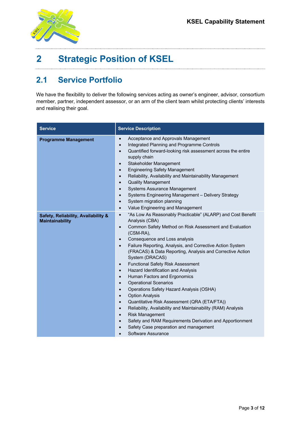

# **2 Strategic Position of KSEL**

#### **2.1 Service Portfolio**

We have the flexibility to deliver the following services acting as owner's engineer, advisor, consortium member, partner, independent assessor, or an arm of the client team whilst protecting clients' interests and realising their goal.

| <b>Service</b>                                                | <b>Service Description</b>                                                                                                                                                                                                                                                                                                                                                                                                                                                                                                                                                                                                                                                                                                                                                                                                                                                                                                                                                                                                          |  |  |
|---------------------------------------------------------------|-------------------------------------------------------------------------------------------------------------------------------------------------------------------------------------------------------------------------------------------------------------------------------------------------------------------------------------------------------------------------------------------------------------------------------------------------------------------------------------------------------------------------------------------------------------------------------------------------------------------------------------------------------------------------------------------------------------------------------------------------------------------------------------------------------------------------------------------------------------------------------------------------------------------------------------------------------------------------------------------------------------------------------------|--|--|
| <b>Programme Management</b>                                   | Acceptance and Approvals Management<br>$\bullet$<br>Integrated Planning and Programme Controls<br>$\bullet$<br>Quantified forward-looking risk assessment across the entire<br>$\bullet$<br>supply chain<br>Stakeholder Management<br>$\bullet$<br><b>Engineering Safety Management</b><br>$\bullet$<br>Reliability, Availability and Maintainability Management<br>$\bullet$<br><b>Quality Management</b><br>$\bullet$<br><b>Systems Assurance Management</b><br>$\bullet$<br>Systems Engineering Management - Delivery Strategy<br>$\bullet$<br>System migration planning<br>$\bullet$<br>Value Engineering and Management<br>$\bullet$                                                                                                                                                                                                                                                                                                                                                                                           |  |  |
| Safety, Reliability, Availability &<br><b>Maintainability</b> | "As Low As Reasonably Practicable" (ALARP) and Cost Benefit<br>$\bullet$<br>Analysis (CBA)<br>Common Safety Method on Risk Assessment and Evaluation<br>$\bullet$<br>(CSM-RA),<br>Consequence and Loss analysis<br>$\bullet$<br>Failure Reporting, Analysis, and Corrective Action System<br>$\bullet$<br>(FRACAS) & Data Reporting, Analysis and Corrective Action<br>System (DRACAS)<br><b>Functional Safety Risk Assessment</b><br>$\bullet$<br>Hazard Identification and Analysis<br>$\bullet$<br>Human Factors and Ergonomics<br>$\bullet$<br><b>Operational Scenarios</b><br>$\bullet$<br>Operations Safety Hazard Analysis (OSHA)<br>$\bullet$<br><b>Option Analysis</b><br>$\bullet$<br>Quantitative Risk Assessment (QRA (ETA/FTA))<br>$\bullet$<br>Reliability, Availability and Maintainability (RAM) Analysis<br>$\bullet$<br><b>Risk Management</b><br>$\bullet$<br>Safety and RAM Requirements Derivation and Apportionment<br>$\bullet$<br>Safety Case preparation and management<br>$\bullet$<br>Software Assurance |  |  |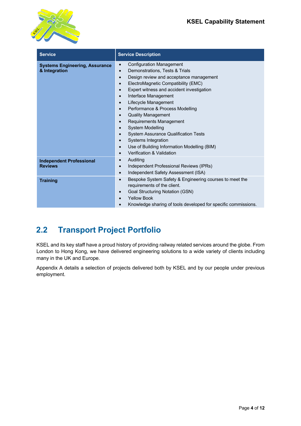

| <b>Service</b>                                         | <b>Service Description</b>                                                                                                                                                                                                                                                                                                                                                                                                                                                                                                                                                                                                                                                                        |
|--------------------------------------------------------|---------------------------------------------------------------------------------------------------------------------------------------------------------------------------------------------------------------------------------------------------------------------------------------------------------------------------------------------------------------------------------------------------------------------------------------------------------------------------------------------------------------------------------------------------------------------------------------------------------------------------------------------------------------------------------------------------|
| <b>Systems Engineering, Assurance</b><br>& Integration | <b>Configuration Management</b><br>$\bullet$<br>Demonstrations, Tests & Trials<br>$\bullet$<br>Design review and acceptance management<br>$\bullet$<br>ElectroMagnetic Compatibility (EMC)<br>$\bullet$<br>Expert witness and accident investigation<br>$\bullet$<br>Interface Management<br>$\bullet$<br>Lifecycle Management<br>$\bullet$<br>Performance & Process Modelling<br><b>Quality Management</b><br>$\bullet$<br>Requirements Management<br>$\bullet$<br><b>System Modelling</b><br>$\bullet$<br><b>System Assurance Qualification Tests</b><br>Systems Integration<br>$\bullet$<br>Use of Building Information Modelling (BIM)<br>$\bullet$<br>Verification & Validation<br>$\bullet$ |
| <b>Independent Professional</b><br><b>Reviews</b>      | Auditing<br>$\bullet$<br>Independent Professional Reviews (IPRs)<br>$\bullet$<br>Independent Safety Assessment (ISA)<br>$\bullet$                                                                                                                                                                                                                                                                                                                                                                                                                                                                                                                                                                 |
| <b>Training</b>                                        | Bespoke System Safety & Engineering courses to meet the<br>$\bullet$<br>requirements of the client.<br>Goal Structuring Notation (GSN)<br><b>Yellow Book</b><br>Knowledge sharing of tools developed for specific commissions.                                                                                                                                                                                                                                                                                                                                                                                                                                                                    |

#### **2.2 Transport Project Portfolio**

KSEL and its key staff have a proud history of providing railway related services around the globe. From London to Hong Kong, we have delivered engineering solutions to a wide variety of clients including many in the UK and Europe.

Appendix A details a selection of projects delivered both by KSEL and by our people under previous employment.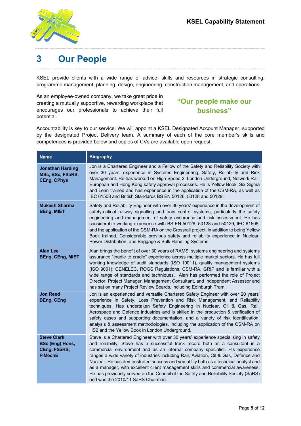

# **3 Our People**

KSEL provide clients with a wide range of advice, skills and resources in strategic consulting, programme management, planning, design, engineering, construction management, and operations.

As an employee-owned company, we take great pride in creating a mutually supportive, rewarding workplace that encourages our professionals to achieve their full potential.

#### **"Our people make our business"**

Accountability is key to our service. We will appoint a KSEL Designated Account Manager, supported by the designated Project Delivery team. A summary of each of the core member's skills and competences is provided below and copies of CVs are available upon request.

| <b>Name</b>                                                             | <b>Biography</b>                                                                                                                                                                                                                                                                                                                                                                                                                                                                                                                                                                                                                                       |
|-------------------------------------------------------------------------|--------------------------------------------------------------------------------------------------------------------------------------------------------------------------------------------------------------------------------------------------------------------------------------------------------------------------------------------------------------------------------------------------------------------------------------------------------------------------------------------------------------------------------------------------------------------------------------------------------------------------------------------------------|
| <b>Jonathan Harding</b><br>MSc, BSc, FSaRS,<br><b>CEng, CPhys</b>       | Jon is a Chartered Engineer and a Fellow of the Safety and Reliability Society with<br>over 30 years' experience in Systems Engineering, Safety, Reliability and Risk<br>Management. He has worked on High Speed 2, London Underground, Network Rail,<br>European and Hong Kong safety approval processes. He is Yellow Book, Six Sigma<br>and Lean trained and has experience in the application of the CSM-RA, as well as<br>IEC 61508 and British Standards BS EN 50126, 50128 and 50129.                                                                                                                                                           |
| <b>Mukesh Sharma</b><br><b>BEng, MIET</b>                               | Safety and Reliability Engineer with over 30 years' experience in the development of<br>safety-critical railway signalling and train control systems, particularly the safety<br>engineering and management of safety assurance and risk assessment. He has<br>considerable working experience with BS EN 50126, 50128 and 50129, IEC 61508,<br>and the application of the CSM-RA on the Crossrail project, in addition to being Yellow<br>Book trained. Considerable previous safety and reliability experience in Nuclear,<br>Power Distribution, and Baggage & Bulk Handling Systems.                                                               |
| <b>Alan Lee</b><br><b>BEng, CEng, MIET</b>                              | Alan brings the benefit of over 30 years of RAMS, systems engineering and systems<br>assurance "cradle to cradle" experience across multiple market sectors. He has full<br>working knowledge of audit standards (ISO 19011), quality management systems<br>(ISO 9001); CENELEC, ROGS Regulations, CSM-RA, GRIP and is familiar with a<br>wide range of standards and techniques. Alan has performed the role of Project<br>Director, Project Manager, Management Consultant, and Independent Assessor and<br>has sat on many Project Review Boards, including Edinburgh Tram.                                                                         |
| <b>Jon Reed</b><br><b>BEng, CEng</b>                                    | Jon is an experienced and versatile Chartered Safety Engineer with over 20 years'<br>experience in Safety, Loss Prevention and Risk Management, and Reliability<br>techniques. Has undertaken Safety Engineering in Nuclear, Oil & Gas, Rail,<br>Aerospace and Defence industries and is skilled in the production & verification of<br>safety cases and supporting documentation, and a variety of risk identification,<br>analysis & assessment methodologies, including the application of the CSM-RA on<br>HS2 and the Yellow Book in London Underground.                                                                                          |
| <b>Steve Clark</b><br>BSc (Eng) Hons,<br>CEng, FSaRS,<br><b>FIMechE</b> | Steve is a Chartered Engineer with over 30 years' experience specialising in safety<br>and reliability. Steve has a successful track record both as a consultant in a<br>commercial environment and as an internal company specialist. His experience<br>ranges a wide variety of industries including Rail, Aviation, Oil & Gas, Defence and<br>Nuclear. He has demonstrated success and versatility both as a technical analyst and<br>as a manager, with excellent client management skills and commercial awareness.<br>He has previously served on the Council of the Safety and Reliability Society (SaRS)<br>and was the 2010/11 SaRS Chairman. |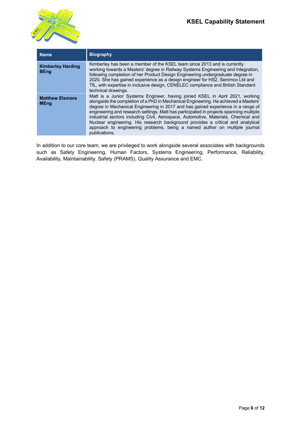

| <b>Name</b>                             | <b>Biography</b>                                                                                                                                                                                                                                                                                                                                                                                                                                                                                                                                                                                                          |
|-----------------------------------------|---------------------------------------------------------------------------------------------------------------------------------------------------------------------------------------------------------------------------------------------------------------------------------------------------------------------------------------------------------------------------------------------------------------------------------------------------------------------------------------------------------------------------------------------------------------------------------------------------------------------------|
| <b>Kimberley Harding</b><br><b>BEng</b> | Kimberley has been a member of the KSEL team since 2013 and is currently<br>working towards a Masters' degree in Railway Systems Engineering and Integration,<br>following completion of her Product Design Engineering undergraduate degree in<br>2020. She has gained experience as a design engineer for HS2, Semmco Ltd and<br>TfL, with expertise in inclusive design, CENELEC compliance and British Standard<br>technical drawings.                                                                                                                                                                                |
| <b>Matthew Elsmore</b><br><b>MEng</b>   | Matt is a Junior Systems Engineer, having joined KSEL in April 2021, working<br>alongside the completion of a PhD in Mechanical Engineering. He achieved a Masters'<br>degree in Mechanical Engineering in 2017 and has gained experience in a range of<br>engineering and research settings. Matt has participated in projects spanning multiple<br>industrial sectors including Civil, Aerospace, Automotive, Materials, Chemical and<br>Nuclear engineering. His research background provides a critical and analytical<br>approach to engineering problems, being a named author on multiple journal<br>publications. |

In addition to our core team, we are privileged to work alongside several associates with backgrounds such as Safety Engineering, Human Factors, Systems Engineering, Performance, Reliability, Availability, Maintainability, Safety (PRAMS), Quality Assurance and EMC.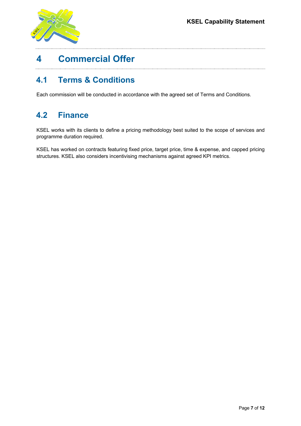

# **4 Commercial Offer**

#### **4.1 Terms & Conditions**

Each commission will be conducted in accordance with the agreed set of Terms and Conditions.

#### **4.2 Finance**

KSEL works with its clients to define a pricing methodology best suited to the scope of services and programme duration required.

KSEL has worked on contracts featuring fixed price, target price, time & expense, and capped pricing structures. KSEL also considers incentivising mechanisms against agreed KPI metrics.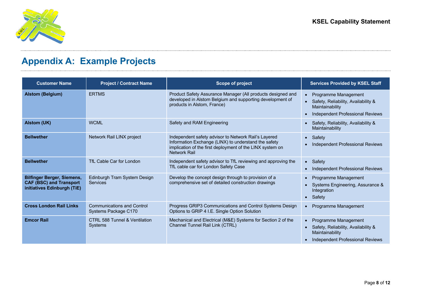

# **Appendix A: Example Projects**

| <b>Customer Name</b>                                                                               | <b>Project / Contract Name</b>                             | <b>Scope of project</b>                                                                                                                                                                          | <b>Services Provided by KSEL Staff</b>                                                                                 |
|----------------------------------------------------------------------------------------------------|------------------------------------------------------------|--------------------------------------------------------------------------------------------------------------------------------------------------------------------------------------------------|------------------------------------------------------------------------------------------------------------------------|
| <b>Alstom (Belgium)</b>                                                                            | <b>ERTMS</b>                                               | Product Safety Assurance Manager (All products designed and<br>developed in Alstom Belgium and supporting development of<br>products in Alstom, France)                                          | • Programme Management<br>• Safety, Reliability, Availability &<br>Maintainability<br>Independent Professional Reviews |
| Alstom (UK)                                                                                        | <b>WCML</b>                                                | Safety and RAM Engineering                                                                                                                                                                       | Safety, Reliability, Availability &<br>Maintainability                                                                 |
| <b>Bellwether</b>                                                                                  | Network Rail LINX project                                  | Independent safety advisor to Network Rail's Layered<br>Information Exchange (LINX) to understand the safety<br>implication of the first deployment of the LINX system on<br><b>Network Rail</b> | • Safety<br>Independent Professional Reviews                                                                           |
| <b>Bellwether</b>                                                                                  | TfL Cable Car for London                                   | Independent safety advisor to TfL reviewing and approving the<br>TfL cable car for London Safety Case                                                                                            | • Safety<br>• Independent Professional Reviews                                                                         |
| <b>Bilfinger Berger, Siemens,</b><br><b>CAF (BSC) and Transport</b><br>initiatives Edinburgh (TiE) | Edinburgh Tram System Design<br>Services                   | Develop the concept design through to provision of a<br>comprehensive set of detailed construction drawings                                                                                      | • Programme Management<br>Systems Engineering, Assurance &<br>Integration<br>• Safety                                  |
| <b>Cross London Rail Links</b>                                                                     | <b>Communications and Control</b><br>Systems Package C170  | Progress GRIP3 Communications and Control Systems Design<br>Options to GRIP 4 I.E. Single Option Solution                                                                                        | Programme Management                                                                                                   |
| <b>Emcor Rail</b>                                                                                  | <b>CTRL 588 Tunnel &amp; Ventilation</b><br><b>Systems</b> | Mechanical and Electrical (M&E) Systems for Section 2 of the<br>Channel Tunnel Rail Link (CTRL)                                                                                                  | • Programme Management<br>Safety, Reliability, Availability &<br>Maintainability<br>Independent Professional Reviews   |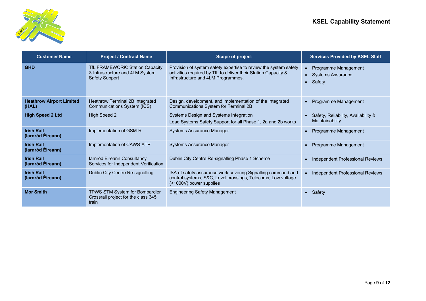

| <b>Customer Name</b>                     | <b>Project / Contract Name</b>                                                              | <b>Scope of project</b>                                                                                                                                                  | <b>Services Provided by KSEL Staff</b>                  |
|------------------------------------------|---------------------------------------------------------------------------------------------|--------------------------------------------------------------------------------------------------------------------------------------------------------------------------|---------------------------------------------------------|
| <b>GHD</b>                               | TfL FRAMEWORK: Station Capacity<br>& Infrastructure and 4LM System<br><b>Safety Support</b> | Provision of system safety expertise to review the system safety<br>activities required by TfL to deliver their Station Capacity &<br>Infrastructure and 4LM Programmes. | Programme Management<br>• Systems Assurance<br>• Safety |
| <b>Heathrow Airport Limited</b><br>(HAL) | Heathrow Terminal 2B Integrated<br>Communications System (ICS)                              | Design, development, and implementation of the Integrated<br>Communications System for Terminal 2B                                                                       | Programme Management                                    |
| <b>High Speed 2 Ltd</b>                  | <b>High Speed 2</b>                                                                         | Systems Design and Systems Integration<br>Lead Systems Safety Support for all Phase 1, 2a and 2b works                                                                   | Safety, Reliability, Availability &<br>Maintainability  |
| <b>Irish Rail</b><br>(larnród Éireann)   | Implementation of GSM-R                                                                     | <b>Systems Assurance Manager</b>                                                                                                                                         | Programme Management                                    |
| <b>Irish Rail</b><br>(larnród Éireann)   | Implementation of CAWS-ATP                                                                  | <b>Systems Assurance Manager</b>                                                                                                                                         | Programme Management                                    |
| <b>Irish Rail</b><br>(larnród Éireann)   | larnród Éireann Consultancy<br>Services for Independent Verification                        | Dublin City Centre Re-signalling Phase 1 Scheme                                                                                                                          | Independent Professional Reviews                        |
| <b>Irish Rail</b><br>(larnród Éireann)   | Dublin City Centre Re-signalling                                                            | ISA of safety assurance work covering Signalling command and<br>control systems, S&C, Level crossings, Telecoms, Low voltage<br>(<1000V) power supplies                  | Independent Professional Reviews                        |
| <b>Mor Smith</b>                         | TPWS STM System for Bombardier<br>Crossrail project for the class 345<br>train              | <b>Engineering Safety Management</b>                                                                                                                                     | Safety                                                  |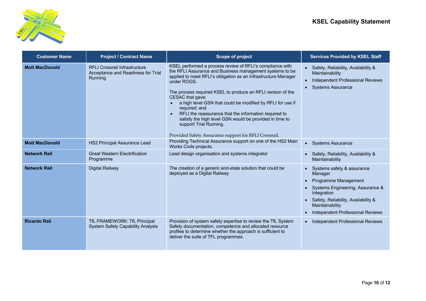

| <b>Customer Name</b>  | <b>Project / Contract Name</b>                                                        | <b>Scope of project</b>                                                                                                                                                                                                                                                                                                                                                                                                                                                                                                                                                                                   | <b>Services Provided by KSEL Staff</b>                                                                                                                                                                                          |
|-----------------------|---------------------------------------------------------------------------------------|-----------------------------------------------------------------------------------------------------------------------------------------------------------------------------------------------------------------------------------------------------------------------------------------------------------------------------------------------------------------------------------------------------------------------------------------------------------------------------------------------------------------------------------------------------------------------------------------------------------|---------------------------------------------------------------------------------------------------------------------------------------------------------------------------------------------------------------------------------|
| <b>Mott MacDonald</b> | <b>RFLI Crossrail Infrastructure</b><br>Acceptance and Readiness for Trial<br>Running | KSEL performed a process review of RFLI's compliance with<br>the RFLI Assurance and Business management systems to be<br>applied to meet RFLI's obligation as an Infrastructure Manager<br>under ROGS.<br>The process required KSEL to produce an RFLI version of the<br>CESAC that gave:<br>a high level GSN that could be modified by RFLI for use if<br>$\bullet$<br>required; and<br>RFLI the reassurance that the information required to<br>$\bullet$<br>satisfy the high level GSN would be provided in time to<br>support Trial Running.<br>Provided Safety Assurance support for RFLI Crossrail. | • Safety, Reliability, Availability &<br>Maintainability<br>Independent Professional Reviews<br>• Systems Assurance                                                                                                             |
| <b>Mott MacDonald</b> | HS2 Principal Assurance Lead                                                          | Providing Technical Assurance support on one of the HS2 Main<br>Works Civils projects.                                                                                                                                                                                                                                                                                                                                                                                                                                                                                                                    | • Systems Assurance                                                                                                                                                                                                             |
| <b>Network Rail</b>   | <b>Great Western Electrification</b><br>Programme                                     | Lead design organisation and systems integrator                                                                                                                                                                                                                                                                                                                                                                                                                                                                                                                                                           | • Safety, Reliability, Availability &<br>Maintainability                                                                                                                                                                        |
| <b>Network Rail</b>   | <b>Digital Railway</b>                                                                | The creation of a generic end-state solution that could be<br>deployed as a Digital Railway                                                                                                                                                                                                                                                                                                                                                                                                                                                                                                               | • Systems safety & assurance<br>Manager<br>Programme Management<br>Systems Engineering, Assurance &<br>$\bullet$<br>Integration<br>• Safety, Reliability, Availability &<br>Maintainability<br>Independent Professional Reviews |
| <b>Ricardo Rail</b>   | TfL FRAMEWORK: TfL Principal<br><b>System Safety Capability Analysis</b>              | Provision of system safety expertise to review the TfL System<br>Safety documentation, competence and allocated resource<br>profiles to determine whether the approach is sufficient to<br>deliver the suite of TFL programmes.                                                                                                                                                                                                                                                                                                                                                                           | • Independent Professional Reviews                                                                                                                                                                                              |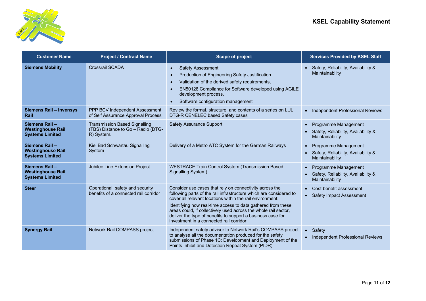

| <b>Customer Name</b>                                                | <b>Project / Contract Name</b>                                                           | <b>Scope of project</b>                                                                                                                                                                                                                                                                                                                                                                                                                 | <b>Services Provided by KSEL Staff</b>                                                      |
|---------------------------------------------------------------------|------------------------------------------------------------------------------------------|-----------------------------------------------------------------------------------------------------------------------------------------------------------------------------------------------------------------------------------------------------------------------------------------------------------------------------------------------------------------------------------------------------------------------------------------|---------------------------------------------------------------------------------------------|
| <b>Siemens Mobility</b>                                             | <b>Crossrail SCADA</b>                                                                   | <b>Safety Assessment</b><br>$\bullet$<br>Production of Engineering Safety Justification.<br>$\bullet$<br>Validation of the derived safety requirements,<br>$\bullet$<br>EN50128 Compliance for Software developed using AGILE<br>$\bullet$<br>development process,<br>Software configuration management<br>$\bullet$                                                                                                                    | • Safety, Reliability, Availability &<br>Maintainability                                    |
| <b>Siemens Rail - Invensys</b><br>Rail                              | PPP BCV Independent Assessment<br>of Self Assurance Approval Process                     | Review the format, structure, and contents of a series on LUL<br>DTG-R CENELEC based Safety cases                                                                                                                                                                                                                                                                                                                                       | <b>Independent Professional Reviews</b><br>$\bullet$                                        |
| Siemens Rail-<br><b>Westinghouse Rail</b><br><b>Systems Limited</b> | <b>Transmission Based Signalling</b><br>(TBS) Distance to Go - Radio (DTG-<br>R) System. | <b>Safety Assurance Support</b>                                                                                                                                                                                                                                                                                                                                                                                                         | Programme Management<br>Safety, Reliability, Availability &<br>Maintainability              |
| Siemens Rail-<br><b>Westinghouse Rail</b><br><b>Systems Limited</b> | Kiel Bad Schwartau Signalling<br>System                                                  | Delivery of a Metro ATC System for the German Railways                                                                                                                                                                                                                                                                                                                                                                                  | Programme Management<br>Safety, Reliability, Availability &<br>$\bullet$<br>Maintainability |
| Siemens Rail-<br><b>Westinghouse Rail</b><br><b>Systems Limited</b> | Jubilee Line Extension Project                                                           | <b>WESTRACE Train Control System (Transmission Based</b><br>Signalling System)                                                                                                                                                                                                                                                                                                                                                          | Programme Management<br>$\bullet$<br>Safety, Reliability, Availability &<br>Maintainability |
| <b>Steer</b>                                                        | Operational, safety and security<br>benefits of a connected rail corridor                | Consider use cases that rely on connectivity across the<br>following parts of the rail infrastructure which are considered to<br>cover all relevant locations within the rail environment:<br>Identifying how real-time access to data gathered from these<br>areas could, if collectively used across the whole rail sector,<br>deliver the type of benefits to support a business case for<br>investment in a connected rail corridor | Cost-benefit assessment<br><b>Safety Impact Assessment</b>                                  |
| <b>Synergy Rail</b>                                                 | Network Rail COMPASS project                                                             | Independent safety advisor to Network Rail's COMPASS project<br>to analyse all the documentation produced for the safety<br>submissions of Phase 1C: Development and Deployment of the<br>Points Inhibit and Detection Repeat System (PIDR)                                                                                                                                                                                             | • Safety<br><b>Independent Professional Reviews</b>                                         |